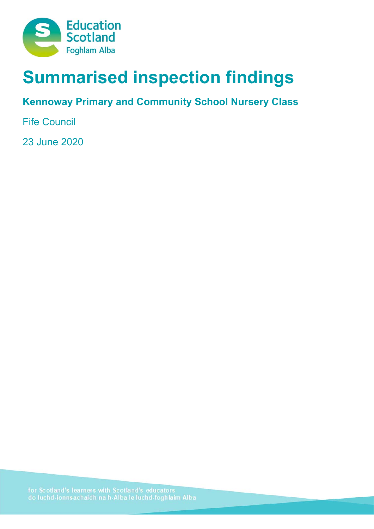

# **Summarised inspection findings**

## **Kennoway Primary and Community School Nursery Class**

Fife Council

23 June 2020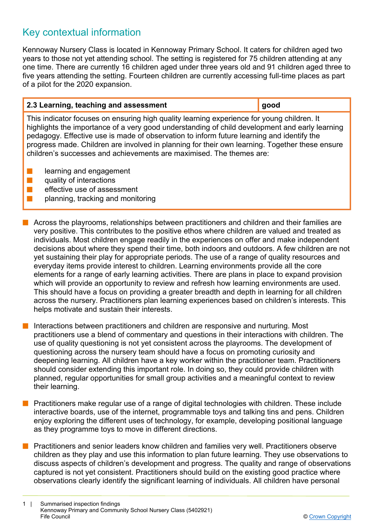### Key contextual information

Kennoway Nursery Class is located in Kennoway Primary School. It caters for children aged two years to those not yet attending school. The setting is registered for 75 children attending at any one time. There are currently 16 children aged under three years old and 91 children aged three to five years attending the setting. Fourteen children are currently accessing full-time places as part of a pilot for the 2020 expansion.

| 2.3 Learning, teaching and assessment | ∣ good |
|---------------------------------------|--------|
|---------------------------------------|--------|

This indicator focuses on ensuring high quality learning experience for young children. It highlights the importance of a very good understanding of child development and early learning pedagogy. Effective use is made of observation to inform future learning and identify the progress made. Children are involved in planning for their own learning. Together these ensure children's successes and achievements are maximised. The themes are:

- learning and engagement
- $\blacksquare$  quality of interactions
- $\blacksquare$  effective use of assessment
	- n planning, tracking and monitoring
- $\blacksquare$  Across the playrooms, relationships between practitioners and children and their families are very positive. This contributes to the positive ethos where children are valued and treated as individuals. Most children engage readily in the experiences on offer and make independent decisions about where they spend their time, both indoors and outdoors. A few children are not yet sustaining their play for appropriate periods. The use of a range of quality resources and everyday items provide interest to children. Learning environments provide all the core elements for a range of early learning activities. There are plans in place to expand provision which will provide an opportunity to review and refresh how learning environments are used. This should have a focus on providing a greater breadth and depth in learning for all children across the nursery. Practitioners plan learning experiences based on children's interests. This helps motivate and sustain their interests.

Interactions between practitioners and children are responsive and nurturing. Most practitioners use a blend of commentary and questions in their interactions with children. The use of quality questioning is not yet consistent across the playrooms. The development of questioning across the nursery team should have a focus on promoting curiosity and deepening learning. All children have a key worker within the practitioner team. Practitioners should consider extending this important role. In doing so, they could provide children with planned, regular opportunities for small group activities and a meaningful context to review their learning.

**n** Practitioners make regular use of a range of digital technologies with children. These include interactive boards, use of the internet, programmable toys and talking tins and pens. Children enjoy exploring the different uses of technology, for example, developing positional language as they programme toys to move in different directions.

Practitioners and senior leaders know children and families very well. Practitioners observe children as they play and use this information to plan future learning. They use observations to discuss aspects of children's development and progress. The quality and range of observations captured is not yet consistent. Practitioners should build on the existing good practice where observations clearly identify the significant learning of individuals. All children have personal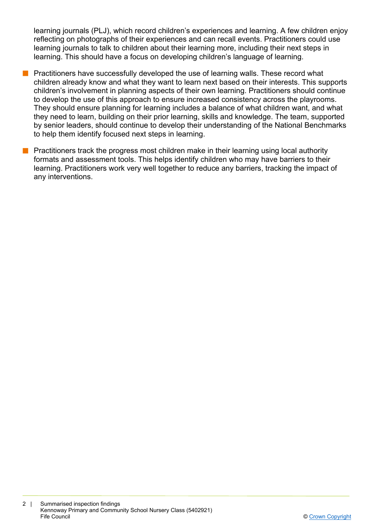learning journals (PLJ), which record children's experiences and learning. A few children enjoy reflecting on photographs of their experiences and can recall events. Practitioners could use learning journals to talk to children about their learning more, including their next steps in learning. This should have a focus on developing children's language of learning.

- **n** Practitioners have successfully developed the use of learning walls. These record what children already know and what they want to learn next based on their interests. This supports children's involvement in planning aspects of their own learning. Practitioners should continue to develop the use of this approach to ensure increased consistency across the playrooms. They should ensure planning for learning includes a balance of what children want, and what they need to learn, building on their prior learning, skills and knowledge. The team, supported by senior leaders, should continue to develop their understanding of the National Benchmarks to help them identify focused next steps in learning.
- **n** Practitioners track the progress most children make in their learning using local authority formats and assessment tools. This helps identify children who may have barriers to their learning. Practitioners work very well together to reduce any barriers, tracking the impact of any interventions.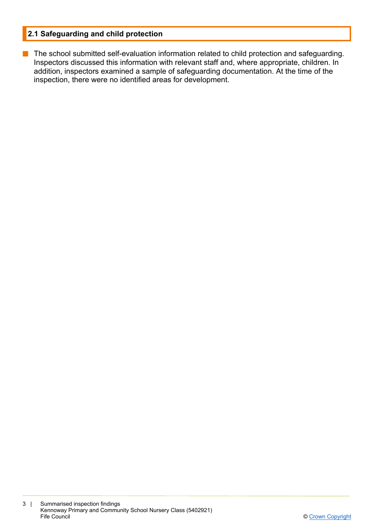#### **2.1 Safeguarding and child protection**

**n** The school submitted self-evaluation information related to child protection and safeguarding. Inspectors discussed this information with relevant staff and, where appropriate, children. In addition, inspectors examined a sample of safeguarding documentation. At the time of the inspection, there were no identified areas for development.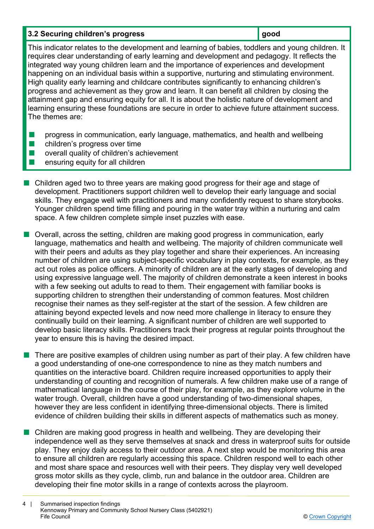#### **3.2 Securing children's progress and a set of a set of a set of a set of a set of a set of a set of a set of a set of a set of a set of a set of a set of a set of a set of a set of a set of a set of a set of a set of a se**

This indicator relates to the development and learning of babies, toddlers and young children. It requires clear understanding of early learning and development and pedagogy. It reflects the integrated way young children learn and the importance of experiences and development happening on an individual basis within a supportive, nurturing and stimulating environment. High quality early learning and childcare contributes significantly to enhancing children's progress and achievement as they grow and learn. It can benefit all children by closing the attainment gap and ensuring equity for all. It is about the holistic nature of development and learning ensuring these foundations are secure in order to achieve future attainment success. The themes are:

- **n** progress in communication, early language, mathematics, and health and wellbeing
- $\blacksquare$  children's progress over time
- $\blacksquare$  overall quality of children's achievement
- n ensuring equity for all children
- n Children aged two to three years are making good progress for their age and stage of development. Practitioners support children well to develop their early language and social skills. They engage well with practitioners and many confidently request to share storybooks. Younger children spend time filling and pouring in the water tray within a nurturing and calm space. A few children complete simple inset puzzles with ease.
- **n** Overall, across the setting, children are making good progress in communication, early language, mathematics and health and wellbeing. The majority of children communicate well with their peers and adults as they play together and share their experiences. An increasing number of children are using subject-specific vocabulary in play contexts, for example, as they act out roles as police officers. A minority of children are at the early stages of developing and using expressive language well. The majority of children demonstrate a keen interest in books with a few seeking out adults to read to them. Their engagement with familiar books is supporting children to strengthen their understanding of common features. Most children recognise their names as they self-register at the start of the session. A few children are attaining beyond expected levels and now need more challenge in literacy to ensure they continually build on their learning. A significant number of children are well supported to develop basic literacy skills. Practitioners track their progress at regular points throughout the year to ensure this is having the desired impact.
- $\blacksquare$  There are positive examples of children using number as part of their play. A few children have a good understanding of one-one correspondence to nine as they match numbers and quantities on the interactive board. Children require increased opportunities to apply their understanding of counting and recognition of numerals. A few children make use of a range of mathematical language in the course of their play, for example, as they explore volume in the water trough. Overall, children have a good understanding of two-dimensional shapes, however they are less confident in identifying three-dimensional objects. There is limited evidence of children building their skills in different aspects of mathematics such as money.
- $\blacksquare$  Children are making good progress in health and wellbeing. They are developing their independence well as they serve themselves at snack and dress in waterproof suits for outside play. They enjoy daily access to their outdoor area. A next step would be monitoring this area to ensure all children are regularly accessing this space. Children respond well to each other and most share space and resources well with their peers. They display very well developed gross motor skills as they cycle, climb, run and balance in the outdoor area. Children are developing their fine motor skills in a range of contexts across the playroom.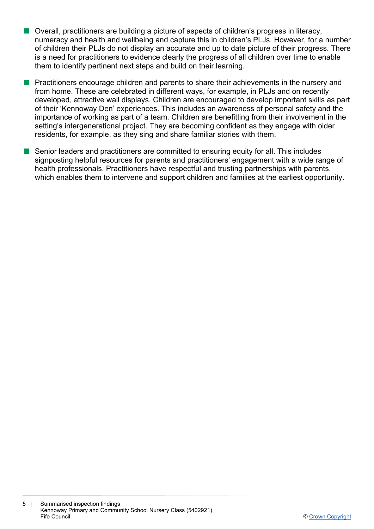- $\blacksquare$  Overall, practitioners are building a picture of aspects of children's progress in literacy, numeracy and health and wellbeing and capture this in children's PLJs. However, for a number of children their PLJs do not display an accurate and up to date picture of their progress. There is a need for practitioners to evidence clearly the progress of all children over time to enable them to identify pertinent next steps and build on their learning.
- **n** Practitioners encourage children and parents to share their achievements in the nursery and from home. These are celebrated in different ways, for example, in PLJs and on recently developed, attractive wall displays. Children are encouraged to develop important skills as part of their 'Kennoway Den' experiences. This includes an awareness of personal safety and the importance of working as part of a team. Children are benefitting from their involvement in the setting's intergenerational project. They are becoming confident as they engage with older residents, for example, as they sing and share familiar stories with them.
- $\blacksquare$  Senior leaders and practitioners are committed to ensuring equity for all. This includes signposting helpful resources for parents and practitioners' engagement with a wide range of health professionals. Practitioners have respectful and trusting partnerships with parents, which enables them to intervene and support children and families at the earliest opportunity.